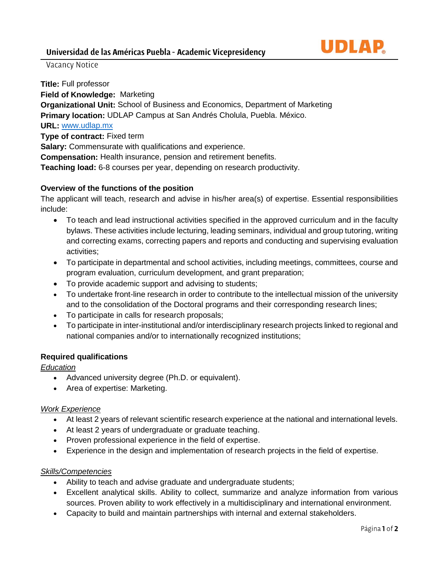

Vacancy Notice

**Title:** Full professor **Field of Knowledge:** Marketing **Organizational Unit:** School of Business and Economics, Department of Marketing **Primary location:** UDLAP Campus at San Andrés Cholula, Puebla. México. **URL:** [www.udlap.mx](http://www.udlap.mx/) **Type of contract:** Fixed term **Salary:** Commensurate with qualifications and experience. **Compensation:** Health insurance, pension and retirement benefits. **Teaching load:** 6-8 courses per year, depending on research productivity.

## **Overview of the functions of the position**

The applicant will teach, research and advise in his/her area(s) of expertise. Essential responsibilities include:

- To teach and lead instructional activities specified in the approved curriculum and in the faculty bylaws. These activities include lecturing, leading seminars, individual and group tutoring, writing and correcting exams, correcting papers and reports and conducting and supervising evaluation activities;
- To participate in departmental and school activities, including meetings, committees, course and program evaluation, curriculum development, and grant preparation;
- To provide academic support and advising to students;
- To undertake front-line research in order to contribute to the intellectual mission of the university and to the consolidation of the Doctoral programs and their corresponding research lines;
- To participate in calls for research proposals;
- To participate in inter-institutional and/or interdisciplinary research projects linked to regional and national companies and/or to internationally recognized institutions;

#### **Required qualifications**

### *Education*

- Advanced university degree (Ph.D. or equivalent).
- Area of expertise: Marketing.

#### *Work Experience*

- At least 2 years of relevant scientific research experience at the national and international levels.
- At least 2 years of undergraduate or graduate teaching.
- Proven professional experience in the field of expertise.
- Experience in the design and implementation of research projects in the field of expertise.

#### *Skills/Competencies*

- Ability to teach and advise graduate and undergraduate students;
- Excellent analytical skills. Ability to collect, summarize and analyze information from various sources. Proven ability to work effectively in a multidisciplinary and international environment.
- Capacity to build and maintain partnerships with internal and external stakeholders.